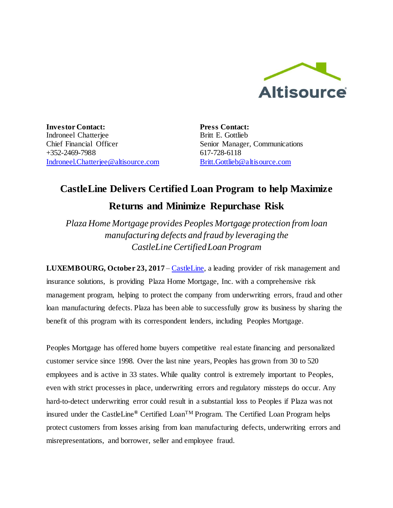

**Investor Contact:** Indroneel Chatterjee Chief Financial Officer +352-2469-7988 [Indroneel.Chatterjee@altisource.com](mailto:Indroneel.Chatterjee@altisource.com) **Press Contact:** Britt E. Gottlieb Senior Manager, Communications 617-728-6118 [Britt.Gottlieb@altisource.com](mailto:Britt.Gottlieb@altisource.com)

# **CastleLine Delivers Certified Loan Program to help Maximize**

## **Returns and Minimize Repurchase Risk**

*Plaza Home Mortgage provides Peoples Mortgage protection from loan manufacturing defects and fraud by leveraging the CastleLine Certified Loan Program*

**LUXEMBOURG, October 23, 2017 – [CastleLine,](http://www.castleline.com/?utm_campaign=CastleLinePeoplesPlaza&utm_source=PR&utm_medium=PR&utm_content=first) a leading provider of risk management and** insurance solutions, is providing Plaza Home Mortgage, Inc. with a comprehensive risk management program, helping to protect the company from underwriting errors, fraud and other loan manufacturing defects. Plaza has been able to successfully grow its business by sharing the benefit of this program with its correspondent lenders, including Peoples Mortgage.

Peoples Mortgage has offered home buyers competitive real estate financing and personalized customer service since 1998. Over the last nine years, Peoples has grown from 30 to 520 employees and is active in 33 states. While quality control is extremely important to Peoples, even with strict processes in place, underwriting errors and regulatory missteps do occur. Any hard-to-detect underwriting error could result in a substantial loss to Peoples if Plaza was not insured under the CastleLine**®** Certified LoanTM Program. The Certified Loan Program helps protect customers from losses arising from loan manufacturing defects, underwriting errors and misrepresentations, and borrower, seller and employee fraud.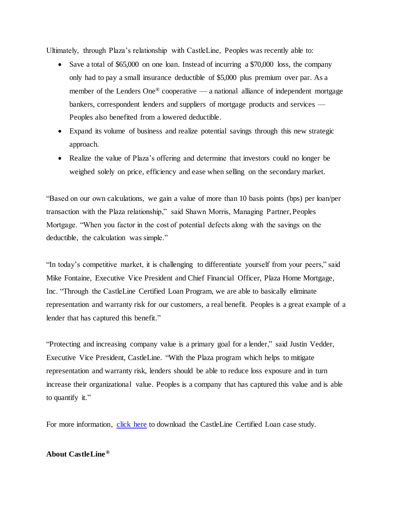Ultimately, through Plaza's relationship with CastleLine, Peoples was recently able to:

- Save a total of \$65,000 on one loan. Instead of incurring a \$70,000 loss, the company only had to pay a small insurance deductible of \$5,000 plus premium over par. As a member of the Lenders One® cooperative — a national alliance of independent mortgage bankers, correspondent lenders and suppliers of mortgage products and services — Peoples also benefited from a lowered deductible.
- Expand its volume of business and realize potential savings through this new strategic approach.
- Realize the value of Plaza's offering and determine that investors could no longer be weighed solely on price, efficiency and ease when selling on the secondary market.

"Based on our own calculations, we gain a value of more than 10 basis points (bps) per loan/per transaction with the Plaza relationship," said Shawn Morris, Managing Partner, Peoples Mortgage. "When you factor in the cost of potential defects along with the savings on the deductible, the calculation was simple."

"In today's competitive market, it is challenging to differentiate yourself from your peers," said Mike Fontaine, Executive Vice President and Chief Financial Officer, Plaza Home Mortgage, Inc. "Through the CastleLine Certified Loan Program, we are able to basically eliminate representation and warranty risk for our customers, a real benefit. Peoples is a great example of a lender that has captured this benefit."

"Protecting and increasing company value is a primary goal for a lender," said Justin Vedder, Executive Vice President, CastleLine. "With the Plaza program which helps to mitigate representation and warranty risk, lenders should be able to reduce loss exposure and in turn increase their organizational value. Peoples is a company that has captured this value and is able to quantify it."

For more information, [click here](https://www.altisource.com/Products/CastleLine-Insurance-Services) to download the CastleLine Certified Loan case study.

### **About CastleLine ®**